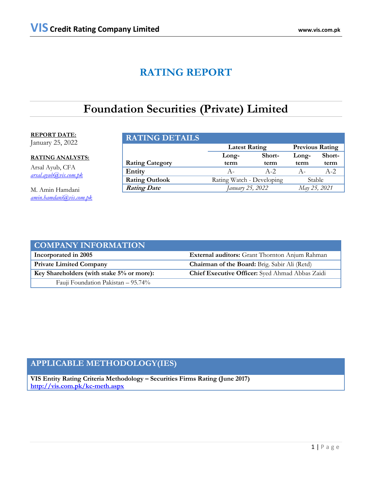## **RATING REPORT**

## **Foundation Securities (Private) Limited**

### **REPORT DATE:** January 25, 2022

**RATING ANALYSTS:**

Arsal Ayub, CFA *[arsal.ayub@vis.com.pk](mailto:arsal.ayub@vis.com.pk)*

M. Amin Hamdani *[amin.hamdani@vis.com.pk](mailto:amin.hamdani@vis.com.pk)*

| <b>RATING DETAILS</b>  |                           |                        |       |        |
|------------------------|---------------------------|------------------------|-------|--------|
|                        | <b>Latest Rating</b>      | <b>Previous Rating</b> |       |        |
|                        | Short-<br>Long-           |                        | Long- | Short- |
| <b>Rating Category</b> | term                      | term                   | term  | term   |
| Entity                 | A –                       | $A-2.$                 | $A -$ | $A-2.$ |
| <b>Rating Outlook</b>  | Rating Watch - Developing | Stable                 |       |        |
| <b>Rating Date</b>     | January 25, 2022          | May 25, 2021           |       |        |

| <b>COMPANY INFORMATION</b>                |                                                 |
|-------------------------------------------|-------------------------------------------------|
| Incorporated in 2005                      | External auditors: Grant Thornton Anjum Rahman  |
| <b>Private Limited Company</b>            | Chairman of the Board: Brig. Sabir Ali (Retd)   |
| Key Shareholders (with stake 5% or more): | Chief Executive Officer: Syed Ahmad Abbas Zaidi |
| Fauji Foundation Pakistan – 95.74%        |                                                 |

## **APPLICABLE METHODOLOGY(IES)**

**VIS Entity Rating Criteria Methodology – Securities Firms Rating (June 2017) <http://vis.com.pk/kc-meth.aspx>**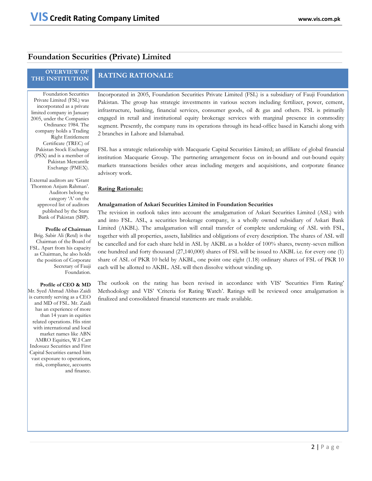### **Foundation Securities (Private) Limited**

## **OVERVIEW OF**

### **RATING RATIONALE**

Foundation Securities Private Limited (FSL) was incorporated as a private limited company in January 2005, under the Companies Ordinance 1984. The company holds a Trading Right Entitlement Certificate (TREC) of Pakistan Stock Exchange (PSX) and is a member of Pakistan Mercantile Exchange (PMEX).

External auditors are 'Grant Thornton Anjum Rahman'. Auditors belong to category 'A' on the approved list of auditors published by the State Bank of Pakistan (SBP).

**Profile of Chairman** Brig. Sabir Ali (Retd) is the Chairman of the Board of FSL. Apart from his capacity as Chairman, he also holds the position of Corporate Secretary of Fauji Foundation.

**Profile of CEO & MD** Mr. Syed Ahmad Abbas Zaidi is currently serving as a CEO and MD of FSL. Mr. Zaidi has an experience of more than 14 years in equities related operations. His stint with international and local market names like ABN AMRO Equities, W.I Carr Indosuez Securities and First Capital Securities earned him vast exposure to operations, risk, compliance, accounts and finance.

Incorporated in 2005, Foundation Securities Private Limited (FSL) is a subsidiary of Fauji Foundation Pakistan. The group has strategic investments in various sectors including fertilizer, power, cement, infrastructure, banking, financial services, consumer goods, oil & gas and others. FSL is primarily engaged in retail and institutional equity brokerage services with marginal presence in commodity segment. Presently, the company runs its operations through its head-office based in Karachi along with 2 branches in Lahore and Islamabad.

FSL has a strategic relationship with Macquarie Capital Securities Limited; an affiliate of global financial institution Macquarie Group. The partnering arrangement focus on in-bound and out-bound equity markets transactions besides other areas including mergers and acquisitions, and corporate finance advisory work.

#### **Rating Rationale:**

#### **Amalgamation of Askari Securities Limited in Foundation Securities**

The revision in outlook takes into account the amalgamation of Askari Securities Limited (ASL) with and into FSL. ASL, a securities brokerage company, is a wholly owned subsidiary of Askari Bank Limited (AKBL). The amalgamation will entail transfer of complete undertaking of ASL with FSL, together with all properties, assets, liabilities and obligations of every description. The shares of ASL will be cancelled and for each share held in ASL by AKBL as a holder of 100% shares, twenty-seven million one hundred and forty thousand (27,140,000) shares of FSL will be issued to AKBL i.e. for every one (1) share of ASL of PKR 10 held by AKBL, one point one eight (1.18) ordinary shares of FSL of PKR 10 each will be allotted to AKBL. ASL will then dissolve without winding up.

The outlook on the rating has been revised in accordance with VIS' 'Securities Firm Rating' Methodology and VIS' 'Criteria for Rating Watch'. Ratings will be reviewed once amalgamation is finalized and consolidated financial statements are made available.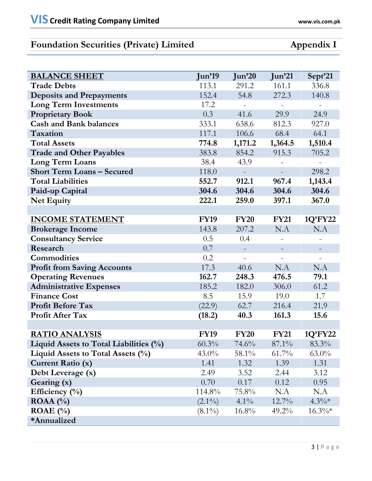## **Foundation Securities (Private) Limited Appendix I**

| <b>BALANCE SHEET</b>                   | <b>Jun'19</b> | Jun'20      | Jun <sup>21</sup> | Sept'21   |
|----------------------------------------|---------------|-------------|-------------------|-----------|
| <b>Trade Debts</b>                     | 113.1         | 291.2       | 161.1             | 336.8     |
| <b>Deposits and Prepayments</b>        | 152.4         | 54.8        | 272.3             | 140.8     |
| <b>Long Term Investments</b>           | 17.2          |             | $\equiv$          |           |
| <b>Proprietary Book</b>                | 0.3           | 41.6        | 29.9              | 24.9      |
| <b>Cash and Bank balances</b>          | 333.1         | 638.6       | 812.3             | 927.0     |
| Taxation                               | 117.1         | 106.6       | 68.4              | 64.1      |
| <b>Total Assets</b>                    | 774.8         | 1,171.2     | 1,364.5           | 1,510.4   |
| <b>Trade and Other Payables</b>        | 383.8         | 854.2       | 915.3             | 705.2     |
| <b>Long Term Loans</b>                 | 38.4          | 43.9        |                   | $\equiv$  |
| <b>Short Term Loans - Secured</b>      | 118.0         |             |                   | 298.2     |
| <b>Total Liabilities</b>               | 552.7         | 912.1       | 967.4             | 1,143.4   |
| Paid-up Capital                        | 304.6         | 304.6       | 304.6             | 304.6     |
| <b>Net Equity</b>                      | 222.1         | 259.0       | 397.1             | 367.0     |
|                                        |               |             |                   |           |
| <b>INCOME STATEMENT</b>                | <b>FY19</b>   | <b>FY20</b> | <b>FY21</b>       | 1Q'FY22   |
| <b>Brokerage Income</b>                | 143.8         | 207.2       | N.A               | N.A       |
| <b>Consultancy Service</b>             | 0.5           | 0.4         |                   |           |
| Research                               | 0.7           |             |                   |           |
| <b>Commodities</b>                     | 0.2           |             |                   |           |
| <b>Profit from Saving Accounts</b>     | 17.3          | 40.6        | N.A               | N.A       |
| <b>Operating Revenues</b>              | 162.7         | 248.3       | 476.5             | 79.1      |
| <b>Administrative Expenses</b>         | 185.2         | 182.0       | 306.0             | 61.2      |
| <b>Finance Cost</b>                    | 8.5           | 15.9        | 19.0              | 1.7       |
| <b>Profit Before Tax</b>               | (22.9)        | 62.7        | 216.4             | 21.9      |
| <b>Profit After Tax</b>                | (18.2)        | 40.3        | 161.3             | 15.6      |
|                                        |               |             |                   |           |
| <b>RATIO ANALYSIS</b>                  | <b>FY19</b>   | <b>FY20</b> | <b>FY21</b>       | 1Q'FY22   |
| Liquid Assets to Total Liabilities (%) | 60.3%         | 74.6%       | 87.1%             | 83.3%     |
| Liquid Assets to Total Assets $(\%)$   | $43.0\%$      | 58.1%       | $61.7\%$          | $63.0\%$  |
| <b>Current Ratio (x)</b>               | 1.41          | 1.32        | 1.39              | 1.31      |
| Debt Leverage (x)                      | 2.49          | 3.52        | 2.44              | 3.12      |
| Gearing (x)                            | 0.70          | 0.17        | 0.12              | 0.95      |
| Efficiency $(\% )$                     | 114.8%        | $75.8\%$    | N.A               | N.A       |
| ROAA $(%)$                             | $(2.1\%)$     | $4.1\%$     | $12.7\%$          | $4.3\%*$  |
| ROAE $(\% )$                           | $(8.1\%)$     | $16.8\%$    | $49.2\%$          | $16.3\%*$ |
| *Annualized                            |               |             |                   |           |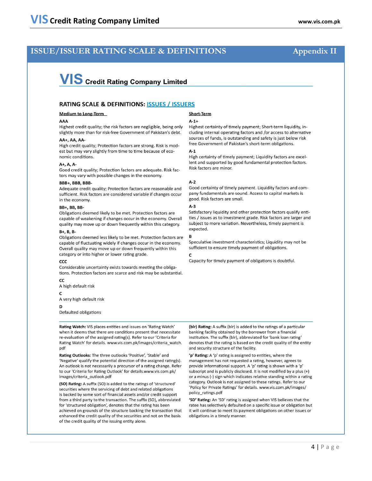### **ISSUE/ISSUER RATING SCALE & DEFINITIONS**

# **VIS** Credit Rating Company Limited

#### **RATING SCALE & DEFINITIONS: ISSUES / ISSUERS**

#### **Medium to Long-Term**

#### AAA

Highest credit quality; the risk factors are negligible, being only slightly more than for risk-free Government of Pakistan's debt.

#### AA+, AA, AA-

High credit quality; Protection factors are strong. Risk is modest but may vary slightly from time to time because of economic conditions

#### A+, A, A-

Good credit quality; Protection factors are adequate. Risk factors may vary with possible changes in the economy.

#### BBB+, BBB, BBB-

Adequate credit quality; Protection factors are reasonable and sufficient. Risk factors are considered variable if changes occur in the economy.

#### **BB+, BB, BB-**

Obligations deemed likely to be met. Protection factors are capable of weakening if changes occur in the economy. Overall quality may move up or down frequently within this category.

#### B+, B, B-

Obligations deemed less likely to be met. Protection factors are capable of fluctuating widely if changes occur in the economy. Overall quality may move up or down frequently within this category or into higher or lower rating grade.

#### ccc

Considerable uncertainty exists towards meeting the obligations. Protection factors are scarce and risk may be substantial.

#### CC

A high default risk

#### $\mathbf{C}$

A very high default risk

#### D

Defaulted obligations

Rating Watch: VIS places entities and issues on 'Rating Watch' when it deems that there are conditions present that necessitate re-evaluation of the assigned rating(s). Refer to our 'Criteria for Rating Watch' for details. www.vis.com.pk/images/criteria\_watch. pdf

Rating Outlooks: The three outlooks 'Positive', 'Stable' and 'Negative' qualify the potential direction of the assigned rating(s). An outlook is not necessarily a precursor of a rating change. Refer to our 'Criteria for Rating Outlook' for details.www.vis.com.pk/ images/criteria\_outlook.pdf

(SO) Rating: A suffix (SO) is added to the ratings of 'structured' securities where the servicing of debt and related obligations is backed by some sort of financial assets and/or credit support from a third party to the transaction. The suffix (SO), abbreviated for 'structured obligation', denotes that the rating has been achieved on grounds of the structure backing the transaction that enhanced the credit quality of the securities and not on the basis of the credit quality of the issuing entity alone.

#### **Short-Term**

#### $A-1+$

Highest certainty of timely payment; Short-term liquidity, including internal operating factors and /or access to alternative sources of funds, is outstanding and safety is just below risk free Government of Pakistan's short-term obligations.

#### $A-1$

High certainty of timely payment; Liquidity factors are excellent and supported by good fundamental protection factors. Risk factors are minor.

#### $A-2$

Good certainty of timely payment. Liquidity factors and company fundamentals are sound. Access to capital markets is good. Risk factors are small.

#### $A-3$

Satisfactory liquidity and other protection factors qualify entities / issues as to investment grade. Risk factors are larger and subject to more variation. Nevertheless, timely payment is expected.

#### B

Speculative investment characteristics; Liquidity may not be sufficient to ensure timely payment of obligations.

#### C

Capacity for timely payment of obligations is doubtful.

(blr) Rating: A suffix (blr) is added to the ratings of a particular banking facility obtained by the borrower from a financial institution. The suffix (blr), abbreviated for 'bank loan rating' denotes that the rating is based on the credit quality of the entity and security structure of the facility.

'p' Rating: A 'p' rating is assigned to entities, where the management has not requested a rating, however, agrees to provide informational support. A 'p' rating is shown with a 'p' subscript and is publicly disclosed. It is not modified by a plus (+) or a minus (-) sign which indicates relative standing within a rating category. Outlook is not assigned to these ratings. Refer to our 'Policy for Private Ratings' for details. www.vis.com.pk/images/ policy\_ratings.pdf

'SD' Rating: An 'SD' rating is assigned when VIS believes that the ratee has selectively defaulted on a specific issue or obligation but it will continue to meet its payment obligations on other issues or obligations in a timely manner.

### **Appendix II**